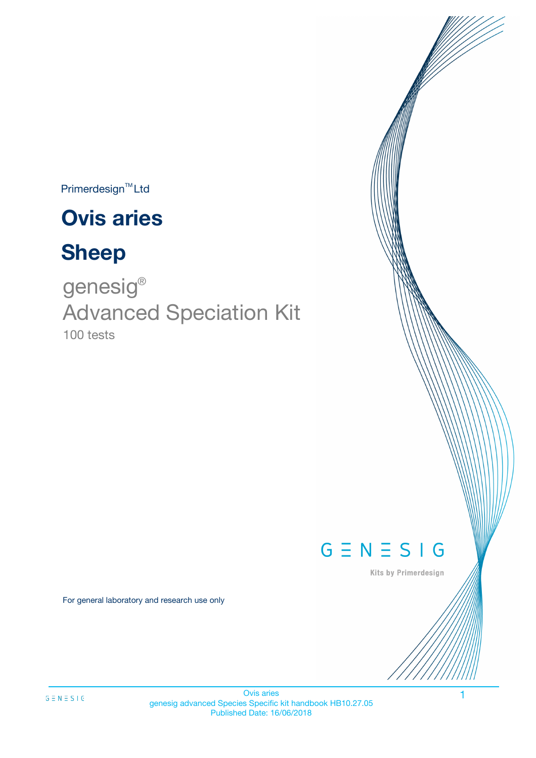Primerdesign<sup>™</sup>Ltd

# **Ovis aries**

# **Sheep**

100 tests genesig ® Advanced Speciation Kit



Kits by Primerdesign

For general laboratory and research use only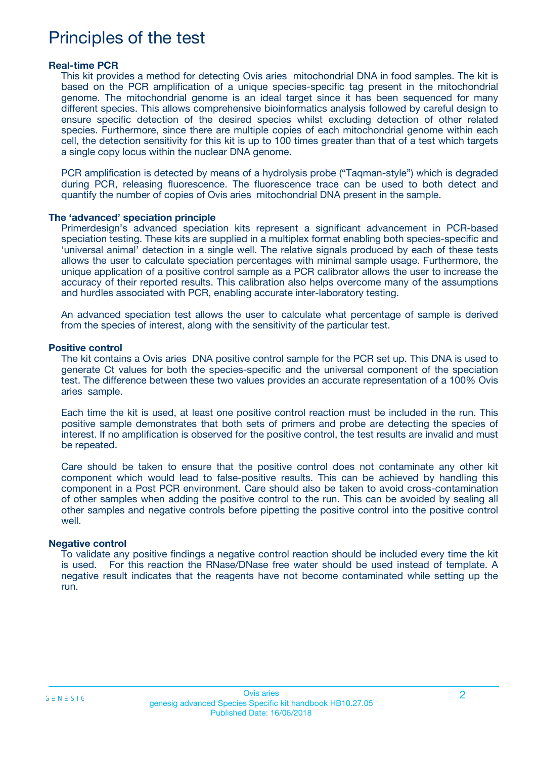## Principles of the test

#### **Real-time PCR**

This kit provides a method for detecting Ovis aries mitochondrial DNA in food samples. The kit is based on the PCR amplification of a unique species-specific tag present in the mitochondrial genome. The mitochondrial genome is an ideal target since it has been sequenced for many different species. This allows comprehensive bioinformatics analysis followed by careful design to ensure specific detection of the desired species whilst excluding detection of other related species. Furthermore, since there are multiple copies of each mitochondrial genome within each cell, the detection sensitivity for this kit is up to 100 times greater than that of a test which targets a single copy locus within the nuclear DNA genome.

PCR amplification is detected by means of a hydrolysis probe ("Taqman-style") which is degraded during PCR, releasing fluorescence. The fluorescence trace can be used to both detect and quantify the number of copies of Ovis aries mitochondrial DNA present in the sample.

#### **The 'advanced' speciation principle**

Primerdesign's advanced speciation kits represent a significant advancement in PCR-based speciation testing. These kits are supplied in a multiplex format enabling both species-specific and 'universal animal' detection in a single well. The relative signals produced by each of these tests allows the user to calculate speciation percentages with minimal sample usage. Furthermore, the unique application of a positive control sample as a PCR calibrator allows the user to increase the accuracy of their reported results. This calibration also helps overcome many of the assumptions and hurdles associated with PCR, enabling accurate inter-laboratory testing.

An advanced speciation test allows the user to calculate what percentage of sample is derived from the species of interest, along with the sensitivity of the particular test.

#### **Positive control**

The kit contains a Ovis aries DNA positive control sample for the PCR set up. This DNA is used to generate Ct values for both the species-specific and the universal component of the speciation test. The difference between these two values provides an accurate representation of a 100% Ovis aries sample.

Each time the kit is used, at least one positive control reaction must be included in the run. This positive sample demonstrates that both sets of primers and probe are detecting the species of interest. If no amplification is observed for the positive control, the test results are invalid and must be repeated.

Care should be taken to ensure that the positive control does not contaminate any other kit component which would lead to false-positive results. This can be achieved by handling this component in a Post PCR environment. Care should also be taken to avoid cross-contamination of other samples when adding the positive control to the run. This can be avoided by sealing all other samples and negative controls before pipetting the positive control into the positive control well.

#### **Negative control**

To validate any positive findings a negative control reaction should be included every time the kit is used. For this reaction the RNase/DNase free water should be used instead of template. A negative result indicates that the reagents have not become contaminated while setting up the run.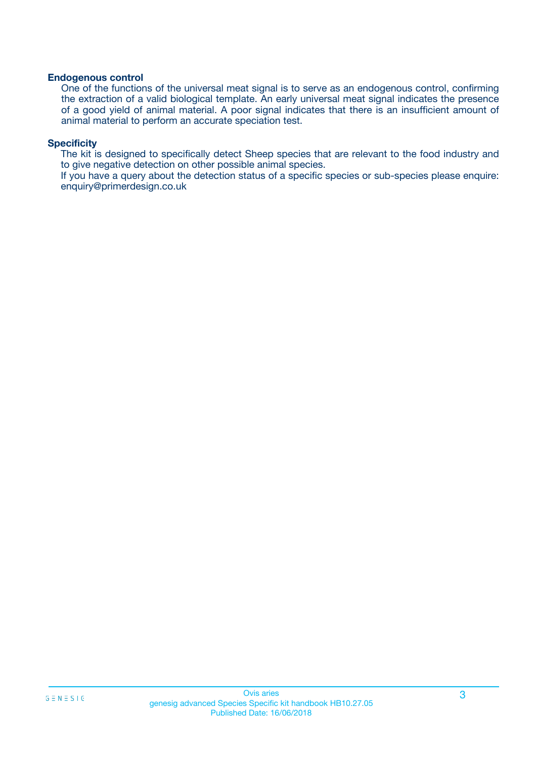#### **Endogenous control**

One of the functions of the universal meat signal is to serve as an endogenous control, confirming the extraction of a valid biological template. An early universal meat signal indicates the presence of a good yield of animal material. A poor signal indicates that there is an insufficient amount of animal material to perform an accurate speciation test.

#### **Specificity**

The kit is designed to specifically detect Sheep species that are relevant to the food industry and to give negative detection on other possible animal species.

If you have a query about the detection status of a specific species or sub-species please enquire: enquiry@primerdesign.co.uk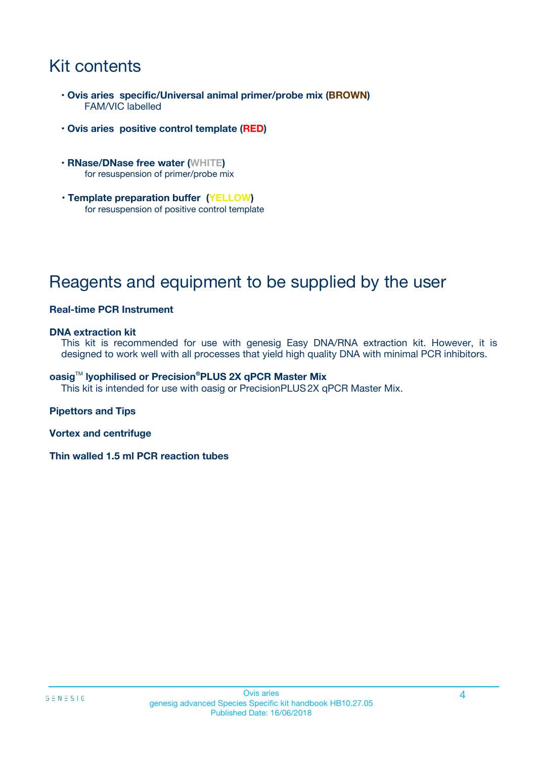## Kit contents

- **Ovis aries specific/Universal animal primer/probe mix (BROWN)** FAM/VIC labelled
- **Ovis aries positive control template (RED)**
- **RNase/DNase free water (WHITE)** for resuspension of primer/probe mix
- **Template preparation buffer (YELLOW)** for resuspension of positive control template

## Reagents and equipment to be supplied by the user

#### **Real-time PCR Instrument**

#### **DNA extraction kit**

This kit is recommended for use with genesig Easy DNA/RNA extraction kit. However, it is designed to work well with all processes that yield high quality DNA with minimal PCR inhibitors.

#### **oasig**TM **lyophilised or Precision®PLUS 2X qPCR Master Mix**

This kit is intended for use with oasig or PrecisionPLUS2X qPCR Master Mix.

#### **Pipettors and Tips**

**Vortex and centrifuge**

**Thin walled 1.5 ml PCR reaction tubes**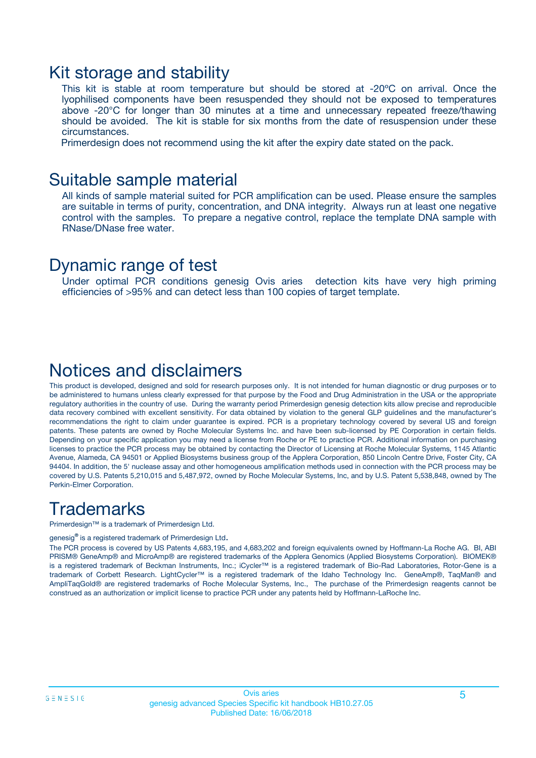### Kit storage and stability

This kit is stable at room temperature but should be stored at -20ºC on arrival. Once the lyophilised components have been resuspended they should not be exposed to temperatures above -20°C for longer than 30 minutes at a time and unnecessary repeated freeze/thawing should be avoided. The kit is stable for six months from the date of resuspension under these circumstances.

Primerdesign does not recommend using the kit after the expiry date stated on the pack.

### Suitable sample material

All kinds of sample material suited for PCR amplification can be used. Please ensure the samples are suitable in terms of purity, concentration, and DNA integrity. Always run at least one negative control with the samples. To prepare a negative control, replace the template DNA sample with RNase/DNase free water.

### Dynamic range of test

Under optimal PCR conditions genesig Ovis aries detection kits have very high priming efficiencies of >95% and can detect less than 100 copies of target template.

### Notices and disclaimers

This product is developed, designed and sold for research purposes only. It is not intended for human diagnostic or drug purposes or to be administered to humans unless clearly expressed for that purpose by the Food and Drug Administration in the USA or the appropriate regulatory authorities in the country of use. During the warranty period Primerdesign genesig detection kits allow precise and reproducible data recovery combined with excellent sensitivity. For data obtained by violation to the general GLP guidelines and the manufacturer's recommendations the right to claim under guarantee is expired. PCR is a proprietary technology covered by several US and foreign patents. These patents are owned by Roche Molecular Systems Inc. and have been sub-licensed by PE Corporation in certain fields. Depending on your specific application you may need a license from Roche or PE to practice PCR. Additional information on purchasing licenses to practice the PCR process may be obtained by contacting the Director of Licensing at Roche Molecular Systems, 1145 Atlantic Avenue, Alameda, CA 94501 or Applied Biosystems business group of the Applera Corporation, 850 Lincoln Centre Drive, Foster City, CA 94404. In addition, the 5' nuclease assay and other homogeneous amplification methods used in connection with the PCR process may be covered by U.S. Patents 5,210,015 and 5,487,972, owned by Roche Molecular Systems, Inc, and by U.S. Patent 5,538,848, owned by The Perkin-Elmer Corporation.

## **Trademarks**

Primerdesign™ is a trademark of Primerdesign Ltd.

genesig**®** is a registered trademark of Primerdesign Ltd.

The PCR process is covered by US Patents 4,683,195, and 4,683,202 and foreign equivalents owned by Hoffmann-La Roche AG. BI, ABI PRISM® GeneAmp® and MicroAmp® are registered trademarks of the Applera Genomics (Applied Biosystems Corporation). BIOMEK® is a registered trademark of Beckman Instruments, Inc.; iCycler™ is a registered trademark of Bio-Rad Laboratories, Rotor-Gene is a trademark of Corbett Research. LightCycler™ is a registered trademark of the Idaho Technology Inc. GeneAmp®, TaqMan® and AmpliTaqGold® are registered trademarks of Roche Molecular Systems, Inc., The purchase of the Primerdesign reagents cannot be construed as an authorization or implicit license to practice PCR under any patents held by Hoffmann-LaRoche Inc.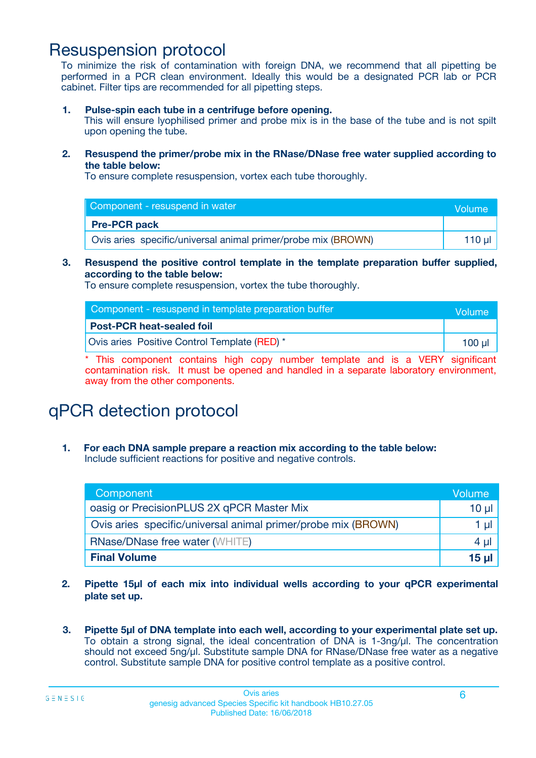### Resuspension protocol

To minimize the risk of contamination with foreign DNA, we recommend that all pipetting be performed in a PCR clean environment. Ideally this would be a designated PCR lab or PCR cabinet. Filter tips are recommended for all pipetting steps.

**1. Pulse-spin each tube in a centrifuge before opening.**

This will ensure lyophilised primer and probe mix is in the base of the tube and is not spilt upon opening the tube.

**2. Resuspend the primer/probe mix in the RNase/DNase free water supplied according to the table below:**

To ensure complete resuspension, vortex each tube thoroughly.

| Component - resuspend in water                                | Volume   |
|---------------------------------------------------------------|----------|
| <b>Pre-PCR pack</b>                                           |          |
| Ovis aries specific/universal animal primer/probe mix (BROWN) | 110 µl 1 |

#### **3. Resuspend the positive control template in the template preparation buffer supplied, according to the table below:**

To ensure complete resuspension, vortex the tube thoroughly.

| Component - resuspend in template preparation buffer | Volume |
|------------------------------------------------------|--------|
| <b>Post-PCR heat-sealed foil</b>                     |        |
| Ovis aries Positive Control Template (RED) *         | 100 ul |

\* This component contains high copy number template and is a VERY significant contamination risk. It must be opened and handled in a separate laboratory environment, away from the other components.

# qPCR detection protocol

**1. For each DNA sample prepare a reaction mix according to the table below:** Include sufficient reactions for positive and negative controls.

| Component                                                     | Volume          |
|---------------------------------------------------------------|-----------------|
| oasig or PrecisionPLUS 2X qPCR Master Mix                     | $10 \mu$        |
| Ovis aries specific/universal animal primer/probe mix (BROWN) | 1 µl            |
| <b>RNase/DNase free water (WHITE)</b>                         | 4 µl            |
| <b>Final Volume</b>                                           | 15 <sub>µ</sub> |

- **2. Pipette 15µl of each mix into individual wells according to your qPCR experimental plate set up.**
- **3. Pipette 5µl of DNA template into each well, according to your experimental plate set up.** To obtain a strong signal, the ideal concentration of DNA is 1-3ng/µl. The concentration should not exceed 5ng/µl. Substitute sample DNA for RNase/DNase free water as a negative control. Substitute sample DNA for positive control template as a positive control.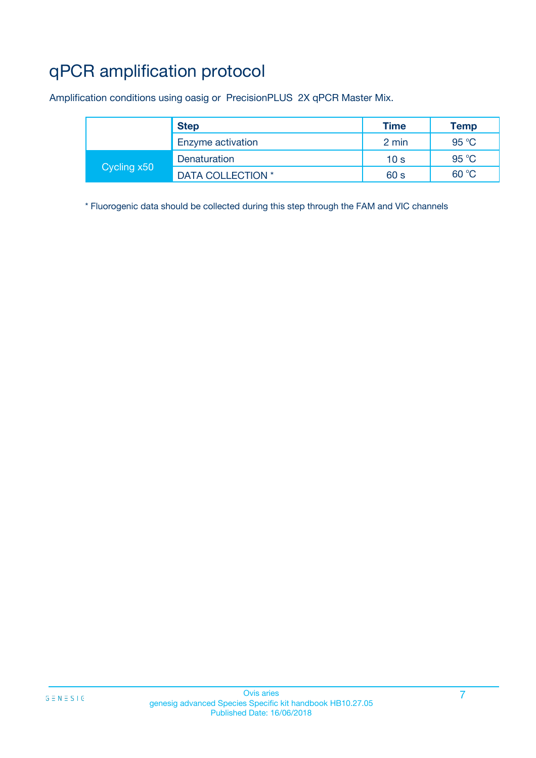# qPCR amplification protocol

Amplification conditions using oasig or PrecisionPLUS 2X qPCR Master Mix.

|             | <b>Step</b>       | Time            | Temp           |
|-------------|-------------------|-----------------|----------------|
|             | Enzyme activation | 2 min           | $95^{\circ}$ C |
| Cycling x50 | Denaturation      | 10 <sub>s</sub> | 95 °C          |
|             | DATA COLLECTION * | 60 s            | 60 °C          |

\* Fluorogenic data should be collected during this step through the FAM and VIC channels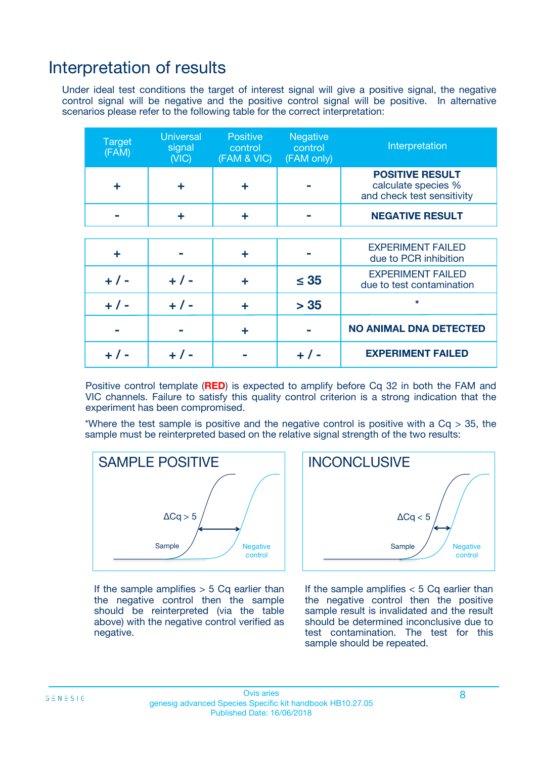### Interpretation of results

Under ideal test conditions the target of interest signal will give a positive signal, the negative control signal will be negative and the positive control signal will be positive. In alternative scenarios please refer to the following table for the correct interpretation:

| <b>Target</b><br>(FAM) | <b>Universal</b><br>signal<br>(NIC) | <b>Positive</b><br>control<br>(FAM & VIC) | <b>Negative</b><br>control<br>(FAM only) | Interpretation                                                              |
|------------------------|-------------------------------------|-------------------------------------------|------------------------------------------|-----------------------------------------------------------------------------|
| ÷                      | ÷                                   | ÷                                         |                                          | <b>POSITIVE RESULT</b><br>calculate species %<br>and check test sensitivity |
|                        |                                     | ÷                                         |                                          | <b>NEGATIVE RESULT</b>                                                      |
|                        |                                     |                                           |                                          |                                                                             |
| ÷                      |                                     | ÷                                         |                                          | <b>EXPERIMENT FAILED</b><br>due to PCR inhibition                           |
| $+$ / -                | $+ 1 -$                             | ÷                                         | $\leq 35$                                | <b>EXPERIMENT FAILED</b><br>due to test contamination                       |
| $+ 1 -$                | $+ 1 -$                             | ÷                                         | > 35                                     | $\star$                                                                     |
|                        |                                     | ÷                                         |                                          | <b>NO ANIMAL DNA DETECTED</b>                                               |
|                        |                                     |                                           | + / -                                    | <b>EXPERIMENT FAILED</b>                                                    |

Positive control template (**RED**) is expected to amplify before Cq 32 in both the FAM and VIC channels. Failure to satisfy this quality control criterion is a strong indication that the experiment has been compromised.

\*Where the test sample is positive and the negative control is positive with a  $Cq > 35$ , the sample must be reinterpreted based on the relative signal strength of the two results:



If the sample amplifies  $> 5$  Cq earlier than the negative control then the sample should be reinterpreted (via the table above) with the negative control verified as negative.



If the sample amplifies  $< 5$  Cq earlier than the negative control then the positive sample result is invalidated and the result should be determined inconclusive due to test contamination. The test for this sample should be repeated.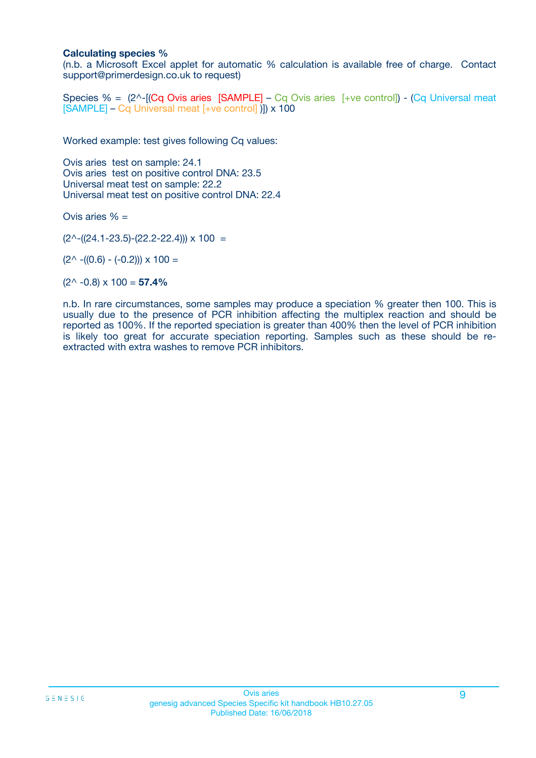#### **Calculating species %**

(n.b. a Microsoft Excel applet for automatic % calculation is available free of charge. Contact support@primerdesign.co.uk to request)

Species % =  $(2^{\wedge}$ -[(Cq Ovis aries [SAMPLE] – Cq Ovis aries [+ve control]) - (Cq Universal meat [SAMPLE] – Cq Universal meat [+ve control] )]) x 100

Worked example: test gives following Cq values:

Ovis aries test on sample: 24.1 Ovis aries test on positive control DNA: 23.5 Universal meat test on sample: 22.2 Universal meat test on positive control DNA: 22.4

Ovis aries % =

 $(2^{\wedge}-(24.1-23.5)-(22.2-22.4))) \times 100 =$ 

 $(2^{\wedge}$  -((0.6) - (-0.2)))  $\times$  100 =

 $(2^{\wedge}$  -0.8)  $\times$  100 = **57.4%** 

n.b. In rare circumstances, some samples may produce a speciation % greater then 100. This is usually due to the presence of PCR inhibition affecting the multiplex reaction and should be reported as 100%. If the reported speciation is greater than 400% then the level of PCR inhibition is likely too great for accurate speciation reporting. Samples such as these should be reextracted with extra washes to remove PCR inhibitors.